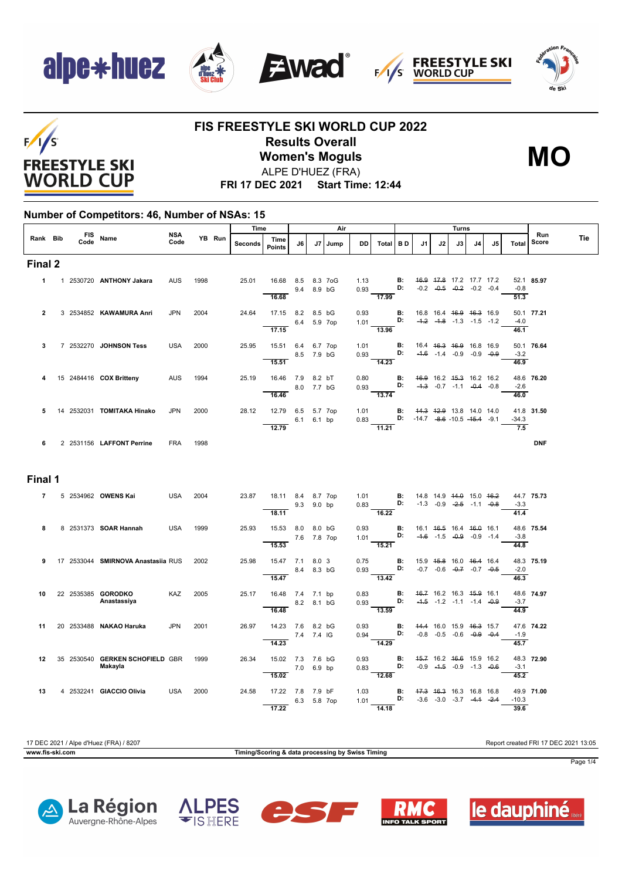

 $F/1/S$ 

**FREESTYLE SKI WORLD CUP** 







### **FIS FREESTYLE SKI WORLD CUP 2022 Results Overall Women's Moguls** ALPE D'HUEZ (FRA)



**FRI 17 DEC 2021 Start Time: 12:44**

#### **Number of Competitors: 46, Number of NSAs: 15**

|              |  |      |                                            |                    |        |  | Time    |                                         |             |        | Air     |              |                                                                 |                 |                                                                      | Turns |                                                                           |     |    |                             |                     |            |
|--------------|--|------|--------------------------------------------|--------------------|--------|--|---------|-----------------------------------------|-------------|--------|---------|--------------|-----------------------------------------------------------------|-----------------|----------------------------------------------------------------------|-------|---------------------------------------------------------------------------|-----|----|-----------------------------|---------------------|------------|
| Rank Bib     |  | Code | FIS Name                                   | <b>NSA</b><br>Code | YB Run |  | Seconds | Time<br>Points                          | J6          |        | J7 Jump | <b>DD</b>    | Total   BD                                                      |                 | J1                                                                   | J2    | J3                                                                        | 14. | J5 | Total                       | <b>Run</b><br>Score | <b>Tie</b> |
| Final 2      |  |      |                                            |                    |        |  |         |                                         |             |        |         |              |                                                                 |                 |                                                                      |       |                                                                           |     |    |                             |                     |            |
| $\mathbf{1}$ |  |      | 1 2530720 ANTHONY Jakara                   | <b>AUS</b>         | 1998   |  | 25.01   | 16.68 8.5<br>16.68                      | 9.4         | 8.9 bG | 8.3 7oG | 1.13         | $\begin{array}{ccc}\n0.93\n\end{array}$ D:<br>$\frac{1}{17.99}$ | <b>B:</b>       |                                                                      |       | 46.9 47.8 17.2 17.7 17.2<br>$-0.2$ $-0.5$ $-0.2$ $-0.2$ $-0.4$            |     |    | $-0.8$<br>$\overline{51.3}$ | 52.1 85.97          |            |
| 2            |  |      | 3 2534852 KAWAMURA Anri                    | <b>JPN</b>         | 2004   |  | 24.64   | 17.15 8.2 8.5 bG<br>$\overline{17.15}$  | 6.4 5.9 7op |        |         | 0.93         | 1.01 $\overrightarrow{D}$ :<br>$\frac{1}{13.96}$                | В:              |                                                                      |       | 16.8 16.4 <del>16.9 16.3</del> 16.9<br>$-4.2$ $-4.8$ $-1.3$ $-1.5$ $-1.2$ |     |    | $-4.0$<br>46.1              | 50.1 77.21          |            |
| 3            |  |      | 7 2532270 JOHNSON Tess                     | <b>USA</b>         | 2000   |  | 25.95   | 15.51 6.4<br>15.51                      | 8.5 7.9 bG  |        | 6.7 7op | 1.01<br>0.93 | B:<br>D:<br>14.23                                               | <b>B:</b>       |                                                                      |       | 16.4 46.3 46.9 16.8 16.9<br>$-4.6$ $-1.4$ $-0.9$ $-0.9$ $-0.9$            |     |    | $-3.2$<br>46.9              | 50.1 76.64          |            |
|              |  |      | 15 2484416 COX Britteny                    | <b>AUS</b>         | 1994   |  | 25.19   | 16.46 7.9 8.2 bT<br>16.46               | 8.0 7.7 bG  |        |         | 0.80<br>0.93 | D:<br>$-13.74$                                                  | <b>B:</b>       |                                                                      |       | 46.9 16.2 45.3 16.2 16.2<br>$-4.3$ $-0.7$ $-1.1$ $-0.4$ $-0.8$            |     |    | $-2.6$<br>46.0              | 48.6 76.20          |            |
| 5            |  |      | 14 2532031 <b>TOMITAKA Hinako</b>          | JPN                | 2000   |  | 28.12   | 12.79 6.5 5.7 7op<br>12.79              | 6.1 6.1 bp  |        |         | 0.83         | 1.01<br>11.21                                                   | B:              | 44.3 42.9 13.8 14.0 14.0<br>D: $-14.7$ $-8.6$ $-10.5$ $-15.4$ $-9.1$ |       |                                                                           |     |    | $-34.3$<br>$\overline{7.5}$ | 41.8 31.50          |            |
| 6            |  |      | 2 2531156 LAFFONT Perrine                  | <b>FRA</b>         | 1998   |  |         |                                         |             |        |         |              |                                                                 |                 |                                                                      |       |                                                                           |     |    |                             | <b>DNF</b>          |            |
| Final 1      |  |      |                                            |                    |        |  |         |                                         |             |        |         |              |                                                                 |                 |                                                                      |       |                                                                           |     |    |                             |                     |            |
| 7            |  |      | 5 2534962 OWENS Kai                        | <b>USA</b>         | 2004   |  | 23.87   | 18.11 8.4 8.7 7op<br>$\overline{18.11}$ | 9.3 9.0 bp  |        |         |              | 1.01 <b>B:</b><br>0.83 <b>D:</b><br>$-16.22$                    |                 | 14.8 14.9 <del>14.0</del> 15.0 <del>16.2</del>                       |       | $-1.3$ $-0.9$ $-2.5$ $-1.1$ $-0.8$                                        |     |    | $-3.3$<br>41.4              | 44.7 75.73          |            |
| 8            |  |      | 8 2531373 SOAR Hannah                      | <b>USA</b>         | 1999   |  | 25.93   | 15.53 8.0<br>15.53                      | 7.6 7.8 7op | 8.0 bG |         | 0.93<br>1.01 | $\mathbf{D}$<br>15.21                                           | <b>B:</b>       |                                                                      |       | 16.1 46.5 16.4 46.0 16.1<br>$-4.6$ $-1.5$ $-0.9$ $-0.9$ $-1.4$            |     |    | $-3.8$<br>44.8              | 48.6 75.54          |            |
| 9            |  |      | 17 2533044 SMIRNOVA Anastasiia RUS         |                    | 2002   |  | 25.98   | 15.47 7.1 8.0 3<br>15.47                | 8.4 8.3 bG  |        |         | 0.75<br>0.93 | <b>D</b> :<br>$\overline{13.42}$                                | <b>B:</b>       | 15.9 <del>15.8</del> 16.0 <del>16.4</del> 16.4                       |       | $-0.7$ $-0.6$ $-0.7$ $-0.7$ $-0.5$                                        |     |    | $-2.0$<br>46.3              | 48.3 75.19          |            |
| 10           |  |      | 22 2535385 GORODKO<br>Anastassiya          | KAZ                | 2005   |  | 25.17   | 16.48 7.4 7.1 bp<br>16.48               | 8.2 8.1 bG  |        |         | 0.83<br>0.93 | $-13.59$                                                        | <b>B:</b><br>D: |                                                                      |       | 46.7 16.2 16.3 45.9 16.1<br>$-4.5$ $-1.2$ $-1.1$ $-1.4$ $-0.9$            |     |    | $-3.7$<br>44.9              | 48.6 74.97          |            |
| 11           |  |      | 20 2533488 NAKAO Haruka                    | <b>JPN</b>         | 2001   |  | 26.97   | 14.23 7.6 8.2 bG<br>14.23               | 7.4 7.4 IG  |        |         | 0.93         | $0.94$ D:<br>$\overline{14.29}$                                 |                 | <b>B:</b> 44.4 16.0 15.9 46.3 15.7                                   |       | $-0.8$ $-0.5$ $-0.6$ $-0.9$ $-0.4$                                        |     |    | $-1.9$<br>45.7              | 47.6 74.22          |            |
| 12           |  |      | 35 2530540 GERKEN SCHOFIELD GBR<br>Makayla |                    | 1999   |  | 26.34   | 15.02 7.3 7.6 bG<br>15.02               | 7.0 6.9 bp  |        |         | 0.93<br>0.83 | $\overline{12.68}$                                              | <b>B:</b><br>D: |                                                                      |       | 45.7 16.2 46.6 15.9 16.2<br>$-0.9$ $-4.5$ $-0.9$ $-1.3$ $-0.6$            |     |    | $-3.1$<br>45.2              | 48.3 72.90          |            |
| 13           |  |      | 4 2532241 GIACCIO Olivia                   | <b>USA</b>         | 2000   |  | 24.58   | 17.22 7.8 7.9 bF<br>17.22               | 6.3 5.8 7op |        |         | 1.03         | 1.01<br>14.18                                                   | <b>B:</b><br>D: | 47.3 46.3 16.3 16.8 16.8                                             |       | $-3.6$ $-3.0$ $-3.7$ $-4.4$ $-2.4$                                        |     |    | $-10.3$<br>39.6             | 49.9 71.00          |            |

17 DEC 2021 / Alpe d'Huez (FRA) / 8207 Report created FRI 17 DEC 2021 13:05 **www.fis-ski.com Timing/Scoring & data processing by Swiss Timing** Page 1/4









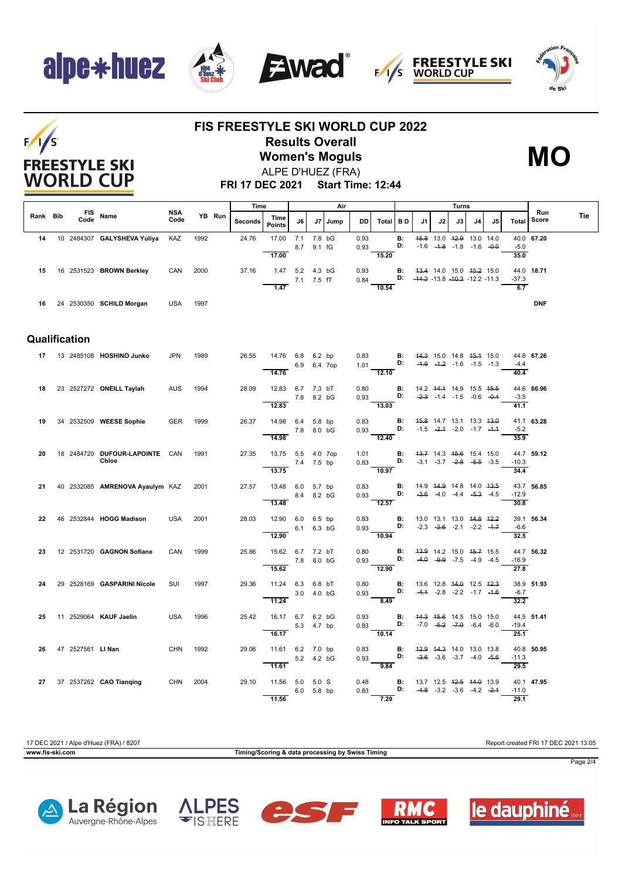## alpe\*huez



T









### **FIS FREESTYLE SKI WORLD CUP 2022 Results Overall Women's Moguls** ALPE D'HUEZ (FRA)



**FRI 17 DEC 2021 Start Time: 12:44**

|          |                    |                                 |                    |      |        | Time    |                       | Air        |             | Turns   |              |                                                               |           |                                                          |    |                                                                    |    |                                    |                 |              |     |
|----------|--------------------|---------------------------------|--------------------|------|--------|---------|-----------------------|------------|-------------|---------|--------------|---------------------------------------------------------------|-----------|----------------------------------------------------------|----|--------------------------------------------------------------------|----|------------------------------------|-----------------|--------------|-----|
| Rank Bib | <b>FIS</b><br>Code | Name                            | <b>NSA</b><br>Code |      | YB Run | Seconds | Time<br><b>Points</b> | J6         |             | J7 Jump | <b>DD</b>    | Total BD                                                      |           | J1                                                       | J2 | J3                                                                 | J4 | J5                                 | Total           | Run<br>Score | Tie |
| 14       |                    | 10 2484307 GALYSHEVA Yuliya     | KAZ                | 1992 |        | 24.76   | 17.00 7.1             |            | 7.8 bG      |         | 0.93         |                                                               | <b>B:</b> |                                                          |    | 45.8 13.0 42.9 13.0 14.0                                           |    |                                    |                 | 40.0 67.20   |     |
|          |                    |                                 |                    |      |        |         | 17.00                 |            | 8.7 9.1 fG  |         | 0.93         | 15.20                                                         | D:        |                                                          |    | $-1.6$ $-4.8$ $-1.8$ $-1.6$ $-0.0$                                 |    |                                    | $-5.0$<br>35.0  |              |     |
|          |                    |                                 |                    |      |        |         |                       |            |             |         |              |                                                               |           |                                                          |    |                                                                    |    |                                    |                 |              |     |
| 15       |                    | 16 2531523 BROWN Berkley        | CAN                | 2000 |        | 37.16   | 1.47 5.2 4.3 bG       |            |             |         | 0.93         |                                                               |           | <b>B:</b> 43.4 14.0 15.0 45.2 15.0                       |    |                                                                    |    |                                    |                 | 44.0 18.71   |     |
|          |                    |                                 |                    |      |        |         | 1.47                  | 7.1 7.5 fT |             |         | 0.84         | 10.54                                                         |           | D: $-44.2 -13.8 -10.3 -12.2 -11.3$                       |    |                                                                    |    |                                    | $-37.3$<br>6.7  |              |     |
|          |                    |                                 |                    |      |        |         |                       |            |             |         |              |                                                               |           |                                                          |    |                                                                    |    |                                    |                 |              |     |
| 16       |                    | 24 2530350 SCHILD Morgan        | USA                | 1997 |        |         |                       |            |             |         |              |                                                               |           |                                                          |    |                                                                    |    |                                    |                 | <b>DNF</b>   |     |
|          |                    |                                 |                    |      |        |         |                       |            |             |         |              |                                                               |           |                                                          |    |                                                                    |    |                                    |                 |              |     |
|          |                    |                                 |                    |      |        |         |                       |            |             |         |              |                                                               |           |                                                          |    |                                                                    |    |                                    |                 |              |     |
|          | Qualification      |                                 |                    |      |        |         |                       |            |             |         |              |                                                               |           |                                                          |    |                                                                    |    |                                    |                 |              |     |
|          |                    | 17 13 2485108 HOSHINO Junko     | <b>JPN</b>         | 1989 |        | 26.55   | 14.76 6.8 6.2 bp      |            |             |         |              |                                                               |           | <b>B:</b> 44.3 15.0 14.8 45.4 15.0                       |    |                                                                    |    |                                    |                 | 44.8 67.26   |     |
|          |                    |                                 |                    |      |        |         |                       |            | 6.9 6.4 7op |         |              | 0.83 <b>B:</b><br>1.01 <b>D:</b>                              |           | $-4.9$ $-4.2$ $-1.6$ $-1.5$ $-1.3$                       |    |                                                                    |    |                                    | $-4.4$          |              |     |
|          |                    |                                 |                    |      |        |         | 14.76                 |            |             |         |              | 12.10                                                         |           |                                                          |    |                                                                    |    |                                    | 40.4            |              |     |
| 18       |                    | 23 2527272 ONEILL Taylah        | <b>AUS</b>         | 1994 |        | 28.09   | 12.83 6.7 7.3 bT      |            |             |         | 0.80         |                                                               |           | <b>B:</b> 14.2 <del>14.1</del> 14.9 15.5 <del>15.5</del> |    |                                                                    |    |                                    |                 | 44.6 66.96   |     |
|          |                    |                                 |                    |      |        |         |                       | 7.8 8.2 bG |             |         | 0.93         | <b>D:</b> $-2.3$ $-1.4$ $-1.5$ $-0.6$ $-0.4$                  |           |                                                          |    |                                                                    |    |                                    | $-3.5$          |              |     |
|          |                    |                                 |                    |      |        |         | 12.83                 |            |             |         |              | $\frac{1}{13.03}$                                             |           |                                                          |    |                                                                    |    |                                    | 41.1            |              |     |
| 19       |                    | 34 2532509 WEESE Sophie         | <b>GER</b>         | 1999 |        | 26.37   | 14.98 6.4 5.8 bp      |            |             |         | 0.83         |                                                               | <b>B:</b> |                                                          |    | 45.8 14.7 13.1 13.3 43.0                                           |    |                                    |                 | 41.1 63.28   |     |
|          |                    |                                 |                    |      |        |         | 14.98                 | 7.8 8.0 bG |             |         | 0.93         | 12.40                                                         | D:        |                                                          |    |                                                                    |    | $-1.5$ $-2.4$ $-2.0$ $-1.7$ $-4.4$ | $-5.2$<br>35.9  |              |     |
|          |                    |                                 |                    |      |        |         |                       |            |             |         |              |                                                               |           |                                                          |    |                                                                    |    |                                    |                 |              |     |
| 20       |                    | 18 2484720 DUFOUR-LAPOINTE CAN  |                    | 1991 |        | 27.35   | 13.75 5.5 4.0 7op     |            |             |         | 1.01         |                                                               |           | <b>B:</b> 43.7 14.3 45.6 15.4 15.0                       |    |                                                                    |    |                                    |                 | 44.7 59.12   |     |
|          |                    | Chloe                           |                    |      |        |         | 7.4 7.5 bp<br>13.75   |            |             |         |              | 0.83 <b>D:</b> $-3.1$ $-3.7$ $-2.8$ $-5.5$ $-3.5$<br>$-10.97$ |           |                                                          |    |                                                                    |    |                                    | $-10.3$<br>34.4 |              |     |
|          |                    |                                 |                    |      |        |         |                       |            |             |         |              |                                                               |           |                                                          |    |                                                                    |    |                                    |                 |              |     |
| 21       |                    | 40 2532085 AMRENOVA Ayaulym KAZ |                    | 2001 |        | 27.57   | 13.48 6.0 5.7 bp      |            |             |         | 0.83         | D:                                                            | <b>B:</b> |                                                          |    | 14.9  44.9  14.8  14.0  43.5<br>$-3.6$ $-4.0$ $-4.4$ $-5.3$ $-4.5$ |    |                                    | $-12.9$         | 43.7 56.85   |     |
|          |                    |                                 |                    |      |        |         | 13.48                 |            | 8.4 8.2 bG  |         | 0.93         | 12.57                                                         |           |                                                          |    |                                                                    |    |                                    | 30.8            |              |     |
|          |                    |                                 |                    |      |        |         |                       |            |             |         |              |                                                               |           |                                                          |    |                                                                    |    |                                    |                 |              |     |
| 22       |                    | 46 2532844 HOGG Madison         | <b>USA</b>         | 2001 |        | 28.03   | 12.90 6.0 6.5 bp      | 6.1 6.3 bG |             |         | 0.83<br>0.93 | <b>D:</b> $-2.3$ $-2.6$ $-2.1$ $-2.2$ $-4.7$                  |           | <b>B:</b> 13.0 13.1 13.0 44.8 42.2                       |    |                                                                    |    |                                    | $-6.6$          | 39.1 56.34   |     |
|          |                    |                                 |                    |      |        |         | 12.90                 |            |             |         |              | $\frac{1}{10.94}$                                             |           |                                                          |    |                                                                    |    |                                    | 32.5            |              |     |
| 23       |                    | 12 2531720 GAGNON Sofiane       | CAN                | 1999 |        | 25.86   | 15.62 6.7 7.2 bT      |            |             |         | 0.80         |                                                               | В:        |                                                          |    | 43.9 14.2 15.0 45.7 15.5                                           |    |                                    |                 | 44.7 56.32   |     |
|          |                    |                                 |                    |      |        |         |                       | 7.8 8.0 bG |             |         | 0.93         |                                                               | D:        |                                                          |    | $-4.0$ $-9.9$ $-7.5$ $-4.9$ $-4.5$                                 |    |                                    | $-16.9$         |              |     |
|          |                    |                                 |                    |      |        |         | 15.62                 |            |             |         |              | 12.90                                                         |           |                                                          |    |                                                                    |    |                                    | 27.8            |              |     |
| 24       |                    | 29 2528169 GASPARINI Nicole     | SUI                | 1997 |        | 29.36   | 11.24 6.3 6.8 bT      |            |             |         | 0.80         |                                                               | <b>B:</b> | 13.6 12.8 <del>14.0</del> 12.5 <del>12.3</del>           |    |                                                                    |    |                                    |                 | 38.9 51.93   |     |
|          |                    |                                 |                    |      |        |         |                       | 3.0 4.0 bG |             |         | 0.93         |                                                               | D:        |                                                          |    | $-4.4$ $-2.8$ $-2.2$ $-1.7$ $-4.6$                                 |    |                                    | $-6.7$          |              |     |
|          |                    |                                 |                    |      |        |         | 11.24                 |            |             |         |              | 8.49                                                          |           |                                                          |    |                                                                    |    |                                    | 32.2            |              |     |
| 25       |                    | 11 2529064 KAUF Jaelin          | <b>USA</b>         | 1996 |        | 25.42   | 16.17 6.7 6.2 bG      |            |             |         | 0.93         |                                                               | <b>B:</b> | 44.3 45.6 14.5 15.0 15.0                                 |    |                                                                    |    |                                    |                 | 44.5 51.41   |     |
|          |                    |                                 |                    |      |        |         |                       |            | 5.3 4.7 bp  |         | 0.83         |                                                               | D:        |                                                          |    | $-7.0$ $-5.2$ $-7.0$ $-6.4$ $-6.0$                                 |    |                                    | $-19.4$         |              |     |
|          |                    |                                 |                    |      |        |         | 16.17                 |            |             |         |              | 10.14                                                         |           |                                                          |    |                                                                    |    |                                    | 25.1            |              |     |
| 26       | 47 2527561 LI Nan  |                                 | <b>CHN</b>         | 1992 |        | 29.06   | 11.61 6.2 7.0 bp      |            |             |         | 0.83         |                                                               |           | <b>B:</b> 42.9 44.3 14.0 13.0 13.8                       |    |                                                                    |    |                                    |                 | 40.8 50.95   |     |
|          |                    |                                 |                    |      |        |         | 11.61                 |            | 5.2 4.2 bG  |         | 0.93         | D:<br>9.84                                                    |           |                                                          |    |                                                                    |    | $-3.6$ $-3.6$ $-3.7$ $-4.0$ $-5.6$ | $-11.3$<br>29.5 |              |     |
|          |                    |                                 |                    |      |        |         |                       |            |             |         |              |                                                               |           |                                                          |    |                                                                    |    |                                    |                 |              |     |
|          |                    | 27 37 2537262 CAO Tianging      | CHN                | 2004 |        | 29.10   | 11.56 5.0 5.0 S       |            |             |         | 0.48         |                                                               | D:        | <b>B:</b> 13.7 12.5 42.5 44.0 13.9                       |    | $-4.8$ $-3.2$ $-3.6$ $-4.2$ $-2.4$                                 |    |                                    | $-11.0$         | 40.1 47.95   |     |
|          |                    |                                 |                    |      |        |         | 11.56                 |            | 6.0 5.8 bp  |         | 0.83         | 7.29                                                          |           |                                                          |    |                                                                    |    |                                    | 29.1            |              |     |

17 DEC 2021 / Alpe d'Huez (FRA) / 8207 Report created FRI 17 DEC 2021 13:05

**www.fis-ski.com Timing/Scoring & data processing by Swiss Timing**



Page 2/4









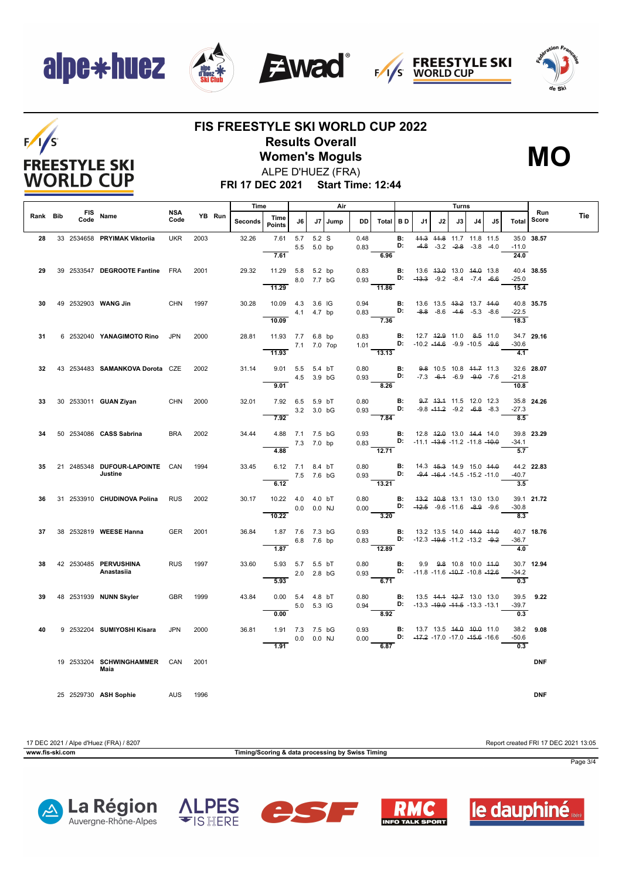## alpe\*huez











### **FIS FREESTYLE SKI WORLD CUP 2022 Results Overall**

**Women's Moguls** ALPE D'HUEZ (FRA)



**FRI 17 DEC 2021 Start Time: 12:44**

|          |                    |                                           | Time<br>Air |      |        | Turns          |                                      |                |            |         |              |                                                                                                        |           |                                                         |    |                                                                |    |    |                              |              |            |
|----------|--------------------|-------------------------------------------|-------------|------|--------|----------------|--------------------------------------|----------------|------------|---------|--------------|--------------------------------------------------------------------------------------------------------|-----------|---------------------------------------------------------|----|----------------------------------------------------------------|----|----|------------------------------|--------------|------------|
| Rank Bib | <b>FIS</b><br>Code | Name                                      | NSA<br>Code |      | YB Run | <b>Seconds</b> | Time<br><b>Points</b>                | J6             |            | J7 Jump | <b>DD</b>    | Total BD                                                                                               |           | .11                                                     | J2 | J3                                                             | J4 | J5 | Total                        | Run<br>Score | <b>Tie</b> |
| 28       |                    | 33 2534658 PRYIMAK Viktoriia              | <b>UKR</b>  | 2003 |        | 32.26          | 7.61<br>7.61                         | 5.7 5.2 S      | 5.5 5.0 bp |         | 0.48<br>0.83 | 6.96                                                                                                   | B:<br>D:  |                                                         |    | 44.3 44.8 11.7 11.8 11.5<br>$-4.8$ $-3.2$ $-2.8$ $-3.8$ $-4.0$ |    |    | $-11.0$<br>24.0              | 35.0 38.57   |            |
| 29       |                    | 39 2533547 DEGROOTE Fantine FRA           |             | 2001 |        | 29.32          | 11.29 5.8 5.2 bp                     |                | 8.0 7.7 bG |         | 0.83         | $0.93$ D: $-43.3$ $-9.2$ $-8.4$ $-7.4$ $-6.6$                                                          |           | <b>B:</b> 13.6 43.0 13.0 44.0 13.8                      |    |                                                                |    |    | -25.0                        | 40.4 38.55   |            |
| 30       |                    | 49 2532903 WANG Jin                       | <b>CHN</b>  | 1997 |        | 30.28          | 11.29<br>10.09  4.3  3.6  IG         |                | 4.1 4.7 bp |         | 0.83         | 11.86<br>$0.94$ B:<br>D:                                                                               |           | 13.6 13.5 <del>13.2</del> 13.7 <del>14.0</del>          |    | $-8.8$ $-8.6$ $-4.6$ $-5.3$ $-8.6$                             |    |    | 15.4<br>$-22.5$              | 40.8 35.75   |            |
| 31       |                    | 6 2532040 YANAGIMOTO Rino JPN             |             | 2000 |        | 28.81          | 10.09<br>11.93 7.7 6.8 bp            |                |            |         | 0.83         | 7.36                                                                                                   |           | <b>B:</b> 12.7 <del>12.9</del> 11.0 <del>8.5</del> 11.0 |    |                                                                |    |    | 18.3                         | 34.7 29.16   |            |
|          |                    |                                           |             |      |        |                | 7.1 7.0 7op<br>11.93                 |                |            |         |              | 1.01 <b>D:</b> -10.2 -14.6 -9.9 -10.5 -9.6<br>$\overline{13.13}$                                       |           |                                                         |    |                                                                |    |    | $-30.6$<br>$-4.1$            |              |            |
| 32       |                    | 43 2534483 SAMANKOVA Dorota CZE           |             | 2002 |        | 31.14          | 9.01 5.5 5.4 bT<br>9.01              | 4.5 3.9 bG     |            |         | 0.80         | $0.93$ D:<br>8.26                                                                                      | <b>B:</b> |                                                         |    | 9.8 10.5 10.8 44.7 11.3<br>$-7.3$ $-6.4$ $-6.9$ $-9.0$ $-7.6$  |    |    | -21.8<br>10.8                | 32.6 28.07   |            |
| 33       |                    | 30 2533011 GUAN Ziyan                     | <b>CHN</b>  | 2000 |        | 32.01          | 7.92 6.5 5.9 bT<br>7.92              | 3.2 3.0 bG     |            |         | 0.80<br>0.93 | D:<br>7.84                                                                                             | B:        |                                                         |    | 9.7 43.4 11.5 12.0 12.3<br>$-9.8$ $-44.2$ $-9.2$ $-6.8$ $-8.3$ |    |    | $-27.3$<br>8.5               | 35.8 24.26   |            |
| 34       |                    | 50 2534086 CASS Sabrina                   | <b>BRA</b>  | 2002 |        | 34.44          | 4.88 7.1 7.5 bG<br>4.88              | 7.3 7.0 bp     |            |         | 0.93         | 0.83 D: $-11.1 -13.6 -11.2 -11.8 -10.0$<br>$\overline{12.71}$                                          | B:        | 12.8 42.0 13.0 44.4 14.0                                |    |                                                                |    |    | -34.1<br>$\overline{5.7}$    | 39.8 23.29   |            |
| 35       |                    | 21 2485348 DUFOUR-LAPOINTE CAN<br>Justine |             | 1994 |        | 33.45          | 6.12 7.1 8.4 bT<br>6.12              | 7.5 7.6 bG     |            |         | 0.80         | 0.93<br>13.21                                                                                          | D:        | <b>B:</b> 14.3 45.3 14.9 15.0 44.0                      |    | $-9.4$ $-46.4$ $-14.5$ $-15.2$ $-11.0$                         |    |    | 44.2 22.83<br>$-40.7$<br>3.5 |              |            |
| 36       |                    | 31 2533910 CHUDINOVA Polina               | <b>RUS</b>  | 2002 |        | 30.17          | 10.22  4.0  4.0 bT<br>10.22          | $0.0$ $0.0$ NJ |            |         |              | 0.80 <b>B:</b> 43.2 40.8 13.1 13.0 13.0<br>0.00 <b>D:</b> $-42.5$ $-9.6$ $-11.6$ $-8.9$ $-9.6$<br>3.20 |           |                                                         |    |                                                                |    |    | $-30.8$<br>8.3               | 39.1 21.72   |            |
| 37       |                    | 38 2532819 WEESE Hanna                    | <b>GER</b>  | 2001 |        | 36.84          | 1.87 7.6 7.3 bG<br>1.87              |                | 6.8 7.6 bp |         |              | 0.93 <b>B:</b> 13.2 13.5 14.0 44.0 44.0<br>0.83 D: -12.3 -19.6 -11.2 -13.2 -9.2<br>$\frac{1}{12.89}$   |           |                                                         |    |                                                                |    |    | 40.7 18.76<br>-36.7<br>4.0   |              |            |
| 38       |                    | 42 2530485 PERVUSHINA<br>Anastasiia       | <b>RUS</b>  | 1997 |        | 33.60          | 5.93 5.7 5.5 bT<br>5.93              | 2.0 2.8 bG     |            |         | 0.80         | 0.93 D: -11.8 -11.6 -10.7 -10.8 -12.6<br>6.71                                                          | B:        | 9.9 9.8 10.8 10.0 44.0                                  |    |                                                                |    |    | $-34.2$<br>$\overline{0.3}$  | 30.7 12.94   |            |
| 39       |                    | 48 2531939 NUNN Skyler                    | <b>GBR</b>  | 1999 |        | 43.84          | $0.00$ 5.4 4.8 bT<br>0.00            | 5.0 5.3 IG     |            |         | 0.80         | 0.94 D: $-13.3 -19.0 -11.5 -13.3 -13.1$<br>8.92                                                        | B:        | 13.5 44.4 42.7 13.0 13.0                                |    |                                                                |    |    | -39.7<br>0.3                 | 39.5 9.22    |            |
| 40       |                    | 9 2532204 SUMIYOSHI Kisara                | <b>JPN</b>  | 2000 |        | 36.81          | 1.91 7.3 7.5 bG<br>$\overline{1.91}$ | 0.0 0.0 NJ     |            |         | 0.93         | 0.00 D: $-47.2 -17.0 -17.0 -45.6 -16.6$<br>6.87                                                        |           | <b>B:</b> 13.7 13.5 <del>14.0 10.0</del> 11.0           |    |                                                                |    |    | $-50.6$<br>$\overline{0.3}$  | 38.2 9.08    |            |
|          |                    | 19 2533204 SCHWINGHAMMER CAN<br>Maia      |             | 2001 |        |                |                                      |                |            |         |              |                                                                                                        |           |                                                         |    |                                                                |    |    |                              | <b>DNF</b>   |            |
|          |                    | 25 2529730 ASH Sophie<br>AUS              |             | 1996 |        |                |                                      |                |            |         |              |                                                                                                        |           |                                                         |    |                                                                |    |    |                              | <b>DNF</b>   |            |

17 DEC 2021 / Alpe d'Huez (FRA) / 8207 Report created FRI 17 DEC 2021 13:05

**www.fis-ski.com Timing/Scoring & data processing by Swiss Timing**